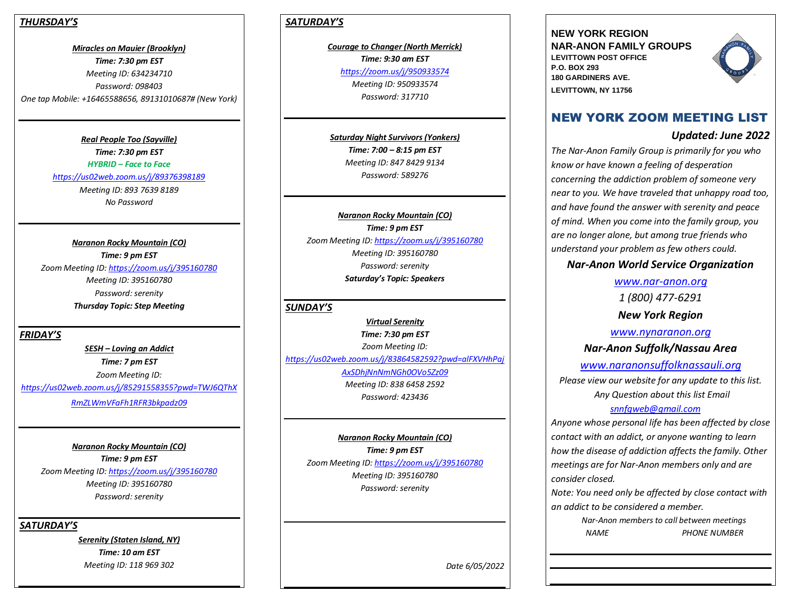### *THURSDAY'S*

*Miracles on Mauier (Brooklyn) Time: 7:30 pm EST Meeting ID: 634234710 Password: 098403 One tap Mobile: +16465588656, 89131010687# (New York)*

> *Real People Too (Sayville) Time: 7:30 pm EST HYBRID – Face to Face <https://us02web.zoom.us/j/89376398189> Meeting ID: 893 7639 8189 No Password*

*Naranon Rocky Mountain (CO) Time: 9 pm EST Zoom Meeting ID[: https://zoom.us/j/395160780](https://zoom.us/j/395160780) Meeting ID: 395160780 Password: serenity Thursday Topic: Step Meeting*

*FRIDAY'S*

*SESH – Loving an Addict Time: 7 pm EST Zoom Meeting ID: https://us02web.zoom.us/j/85291558355?pwd=TWJ6QThX* 

*RmZLWmVFaFh1RFR3bkpadz09*

*Naranon Rocky Mountain (CO) Time: 9 pm EST Zoom Meeting ID[: https://zoom.us/j/395160780](https://zoom.us/j/395160780) Meeting ID: 395160780 Password: serenity*

*SATURDAY'S*

*Serenity (Staten Island, NY) Time: 10 am EST Meeting ID: 118 969 302*

# *SATURDAY'S*

*Courage to Changer (North Merrick) Time: 9:30 am EST <https://zoom.us/j/950933574> Meeting ID: 950933574 Password: 317710*

*Saturday Night Survivors (Yonkers) Time: 7:00 – 8:15 pm EST Meeting ID: 847 8429 9134 Password: 589276*

*Naranon Rocky Mountain (CO) Time: 9 pm EST Zoom Meeting ID[: https://zoom.us/j/395160780](https://zoom.us/j/395160780) Meeting ID: 395160780 Password: serenity Saturday's Topic: Speakers*

## *SUNDAY'S*

*Virtual Serenity Time: 7:30 pm EST Zoom Meeting ID: [https://us02web.zoom.us/j/83864582592?pwd=alFXVHhPaj](https://us02web.zoom.us/j/83864582592?pwd=alFXVHhPajAxSDhjNnNmNGh0OVo5Zz09) [AxSDhjNnNmNGh0OVo5Zz09](https://us02web.zoom.us/j/83864582592?pwd=alFXVHhPajAxSDhjNnNmNGh0OVo5Zz09) Meeting ID: 838 6458 2592 Password: 423436*

*Naranon Rocky Mountain (CO) Time: 9 pm EST Zoom Meeting ID[: https://zoom.us/j/395160780](https://zoom.us/j/395160780) Meeting ID: 395160780 Password: serenity*

# **NEW YORK REGION**

**NAR-ANON FAMILY GROUPS LEVITTOWN POST OFFICE P.O. BOX 293 180 GARDINERS AVE. LEVITTOWN, NY 11756**



# NEW YORK ZOOM MEETING LIST

## *Updated: June 2022*

*The Nar-Anon Family Group is primarily for you who know or have known a feeling of desperation concerning the addiction problem of someone very near to you. We have traveled that unhappy road too, and have found the answer with serenity and peace of mind. When you come into the family group, you are no longer alone, but among true friends who understand your problem as few others could.* 

# *Nar-Anon World Service Organization*

*[www.nar-anon.org](http://www.nar-anon.org/) 1 (800) 477-6291 New York Region [www.nynaranon.org](http://www.nynaranon.org/)*

*Nar-Anon Suffolk/Nassau Area*

*[www.naranonsuffolknassauli.org](http://www.naranonsuffolkli.org/)*

*Please view our website for any update to this list. Any Question about this list Email [snnfgweb@gmail.com](mailto:snnfgweb@gmail.com)*

*Anyone whose personal life has been affected by close contact with an addict, or anyone wanting to learn how the disease of addiction affects the family. Other meetings are for Nar-Anon members only and are consider closed.*

*Note: You need only be affected by close contact with an addict to be considered a member.*

> *Nar-Anon members to call between meetings NAME PHONE NUMBER*

 *Date 6/05/2022*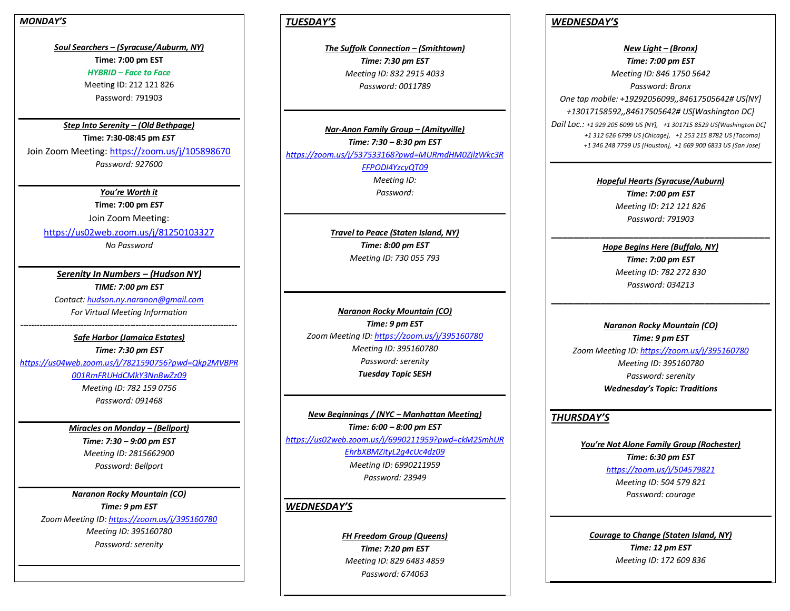*Soul Searchers – (Syracuse/Auburm, NY)* **Time: 7:00 pm EST** *HYBRID – Face to Face*

> Meeting ID: 212 121 826 Password: 791903

*Step Into Serenity – (Old Bethpage)*

**Time: 7:30-08:45 pm** *EST* Join Zoom Meeting:<https://zoom.us/j/105898670>

*Password: 927600*

*You're Worth it*

**Time: 7:00 pm** *EST*

Join Zoom Meeting:

https://us02web.zoom.us/j/81250103327

*No Password*

*Serenity In Numbers – (Hudson NY)*

*TIME: 7:00 pm EST*

*Contact[: hudson.ny.naranon@gmail.com](mailto:hudson.ny.naranon@gmail.com) For Virtual Meeting Information*

*------------------------------------------------------------------------------- Safe Harbor (Jamaica Estates)*

*Time: 7:30 pm EST*

*[https://us04web.zoom.us/j/7821590756?pwd=Qkp2MVBPR](https://us04web.zoom.us/j/7821590756?pwd=Qkp2MVBPR001RmFRUHdCMkY3NnBwZz09)*

*[001RmFRUHdCMkY3NnBwZz09](https://us04web.zoom.us/j/7821590756?pwd=Qkp2MVBPR001RmFRUHdCMkY3NnBwZz09) Meeting ID: 782 159 0756 Password: 091468*

*Miracles on Monday – (Bellport) Time: 7:30 – 9:00 pm EST Meeting ID: 2815662900 Password: Bellport*

*Naranon Rocky Mountain (CO)*

*Time: 9 pm EST Zoom Meeting ID[: https://zoom.us/j/395160780](https://zoom.us/j/395160780) Meeting ID: 395160780*

*Password: serenity*

### *TUESDAY'S*

*The Suffolk Connection – (Smithtown) Time: 7:30 pm EST Meeting ID: 832 2915 4033 Password: 0011789*

*Nar-Anon Family Group – (Amityville) Time: 7:30 – 8:30 pm EST [https://zoom.us/j/537533168?pwd=MURmdHM0ZjlzWkc3R](https://zoom.us/j/537533168?pwd=MURmdHM0ZjlzWkc3RFFPODl4YzcyQT09) [FFPODl4YzcyQT09](https://zoom.us/j/537533168?pwd=MURmdHM0ZjlzWkc3RFFPODl4YzcyQT09) Meeting ID: Password:*

> *Travel to Peace (Staten Island, NY) Time: 8:00 pm EST Meeting ID: 730 055 793*

*Naranon Rocky Mountain (CO) Time: 9 pm EST Zoom Meeting ID[: https://zoom.us/j/395160780](https://zoom.us/j/395160780) Meeting ID: 395160780 Password: serenity Tuesday Topic SESH*

*New Beginnings / (NYC – Manhattan Meeting) Time: 6:00 – 8:00 pm EST [https://us02web.zoom.us/j/6990211959?pwd=ckM2SmhUR](https://us02web.zoom.us/j/6990211959?pwd=ckM2SmhUREhrbXBMZityL2g4cUc4dz09) [EhrbXBMZityL2g4cUc4dz09](https://us02web.zoom.us/j/6990211959?pwd=ckM2SmhUREhrbXBMZityL2g4cUc4dz09) Meeting ID: 6990211959 Password: 23949*

### *WEDNESDAY'S*

*FH Freedom Group (Queens) Time: 7:20 pm EST Meeting ID: 829 6483 4859 Password: 674063*

### *WEDNESDAY'S*

*New Light – (Bronx)*

*Time: 7:00 pm EST Meeting ID: 846 1750 5642 Password: Bronx One tap mobile: +19292056099,,84617505642# US[NY]*

*+13017158592,,84617505642# US[Washington DC]*

*Dail Loc.: +1 929 205 6099 US [NY], +1 301715 8529 US[Washington DC] +1 312 626 6799 US [Chicage], +1 253 215 8782 US [Tacoma] +1 346 248 7799 US [Houston], +1 669 900 6833 US [San Jose]*

> *Hopeful Hearts (Syracuse/Auburn) Time: 7:00 pm EST Meeting ID: 212 121 826 Password: 791903*

**\_\_\_\_\_\_\_\_\_\_\_\_\_\_\_\_\_\_\_\_\_\_\_\_\_\_\_\_\_\_\_\_\_\_\_\_\_\_\_\_** *Hope Begins Here (Buffalo, NY)*

> *Time: 7:00 pm EST Meeting ID: 782 272 830 Password: 034213*

**\_\_\_\_\_\_\_\_\_\_\_\_\_\_\_\_\_\_\_\_\_\_\_\_\_\_\_\_\_\_\_\_\_\_\_\_\_\_\_\_**

#### *Naranon Rocky Mountain (CO)*

*Time: 9 pm EST Zoom Meeting ID[: https://zoom.us/j/395160780](https://zoom.us/j/395160780) Meeting ID: 395160780 Password: serenity Wednesday's Topic: Traditions*

*THURSDAY'S*

*You're Not Alone Family Group (Rochester) Time: 6:30 pm EST <https://zoom.us/j/504579821> Meeting ID: 504 579 821 Password: courage*

*Courage to Change (Staten Island, NY) Time: 12 pm EST Meeting ID: 172 609 836*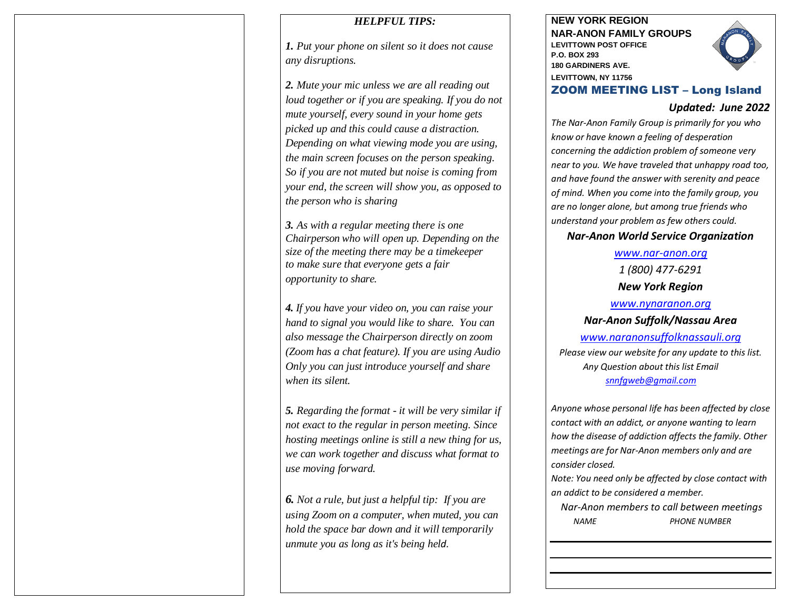# *HELPFUL TIPS:*

*1. Put your phone on silent so it does not cause any disruptions.*

*2. Mute your mic unless we are all reading out loud together or if you are speaking. If you do not mute yourself, every sound in your home gets picked up and this could cause a distraction. Depending on what viewing mode you are using, the main screen focuses on the person speaking. So if you are not muted but noise is coming from your end, the screen will show you, as opposed to the person who is sharing*

*3. As with a regular meeting there is one Chairperson who will open up. Depending on the size of the meeting there may be a timekeeper to make sure that everyone gets a fair opportunity to share.*

*4. If you have your video on, you can raise your hand to signal you would like to share. You can also message the Chairperson directly on zoom (Zoom has a chat feature). If you are using Audio Only you can just introduce yourself and share when its silent.* 

*5. Regarding the format - it will be very similar if not exact to the regular in person meeting. Since hosting meetings online is still a new thing for us, we can work together and discuss what format to use moving forward.*

*6. Not a rule, but just a helpful tip: If you are using Zoom on a computer, when muted, you can hold the space bar down and it will temporarily unmute you as long as it's being held.* 

### **NEW YORK REGION NAR-ANON FAMILY GROUPS LEVITTOWN POST OFFICE P.O. BOX 293 180 GARDINERS AVE. LEVITTOWN, NY 11756**

# ZOOM MEETING LIST – Long Island

# *Updated: June 2022*

*The Nar-Anon Family Group is primarily for you who know or have known a feeling of desperation concerning the addiction problem of someone very near to you. We have traveled that unhappy road too, and have found the answer with serenity and peace of mind. When you come into the family group, you are no longer alone, but among true friends who understand your problem as few others could.* 

# *Nar-Anon World Service Organization*

*[www.nar-anon.org](http://www.nar-anon.org/) 1 (800) 477-6291 New York Region*

# *[www.nynaranon.org](http://www.nynaranon.org/) Nar-Anon Suffolk/Nassau Area*

*[www.naranonsuffolknassauli.org](http://www.naranonsuffolknassauli.org/) Please view our website for any update to this list. Any Question about this list Email [snnfgweb@gmail.com](mailto:snnfgweb@gmail.com)*

*Anyone whose personal life has been affected by close contact with an addict, or anyone wanting to learn how the disease of addiction affects the family. Other meetings are for Nar-Anon members only and are consider closed.*

*Note: You need only be affected by close contact with an addict to be considered a member.*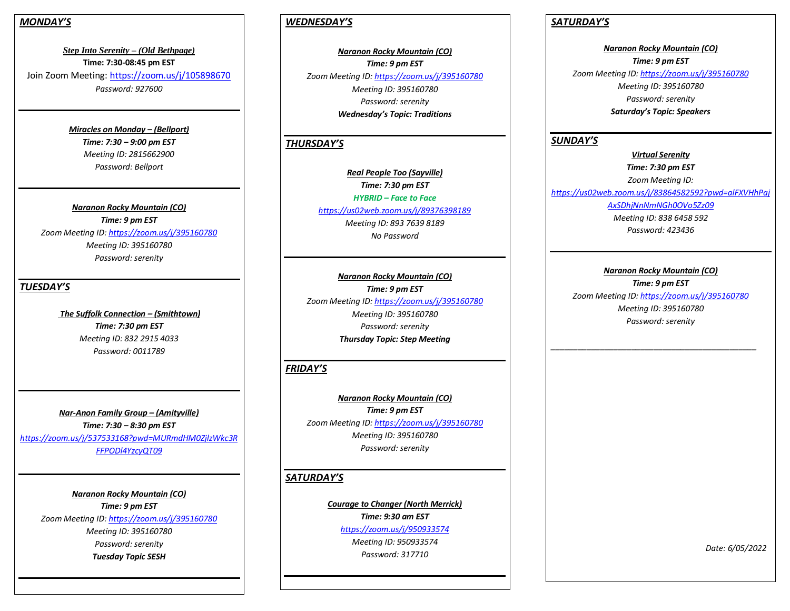*Step Into Serenity – (Old Bethpage)* **Time: 7:30-08:45 pm EST** Join Zoom Meeting:<https://zoom.us/j/105898670> *Password: 927600*

> *Miracles on Monday – (Bellport) Time: 7:30 – 9:00 pm EST Meeting ID: 2815662900 Password: Bellport*

*Naranon Rocky Mountain (CO) Time: 9 pm EST Zoom Meeting ID[: https://zoom.us/j/395160780](https://zoom.us/j/395160780) Meeting ID: 395160780 Password: serenity*

### *TUESDAY'S*

*The Suffolk Connection – (Smithtown) Time: 7:30 pm EST Meeting ID: 832 2915 4033 Password: 0011789*

*Nar-Anon Family Group – (Amityville) Time: 7:30 – 8:30 pm EST [https://zoom.us/j/537533168?pwd=MURmdHM0ZjlzWkc3R](https://zoom.us/j/537533168?pwd=MURmdHM0ZjlzWkc3RFFPODl4YzcyQT09) [FFPODl4YzcyQT09](https://zoom.us/j/537533168?pwd=MURmdHM0ZjlzWkc3RFFPODl4YzcyQT09)*

*Naranon Rocky Mountain (CO)*

*Time: 9 pm EST*

*Zoom Meeting ID[: https://zoom.us/j/395160780](https://zoom.us/j/395160780)*

*Meeting ID: 395160780 Password: serenity Tuesday Topic SESH*

## *WEDNESDAY'S*

*Naranon Rocky Mountain (CO) Time: 9 pm EST Zoom Meeting ID[: https://zoom.us/j/395160780](https://zoom.us/j/395160780) Meeting ID: 395160780 Password: serenity Wednesday's Topic: Traditions*

### *THURSDAY'S*

*Real People Too (Sayville) Time: 7:30 pm EST HYBRID – Face to Face <https://us02web.zoom.us/j/89376398189> Meeting ID: 893 7639 8189 No Password*

*Naranon Rocky Mountain (CO) Time: 9 pm EST Zoom Meeting ID[: https://zoom.us/j/395160780](https://zoom.us/j/395160780) Meeting ID: 395160780 Password: serenity Thursday Topic: Step Meeting*

## *FRIDAY'S*

*Naranon Rocky Mountain (CO) Time: 9 pm EST Zoom Meeting ID[: https://zoom.us/j/395160780](https://zoom.us/j/395160780) Meeting ID: 395160780 Password: serenity*

### *SATURDAY'S*

*Courage to Changer (North Merrick) Time: 9:30 am EST <https://zoom.us/j/950933574> Meeting ID: 950933574*

*Password: 317710*

### *SATURDAY'S*

*Naranon Rocky Mountain (CO) Time: 9 pm EST Zoom Meeting ID[: https://zoom.us/j/395160780](https://zoom.us/j/395160780) Meeting ID: 395160780 Password: serenity Saturday's Topic: Speakers*

### *SUNDAY'S*

*Virtual Serenity Time: 7:30 pm EST Zoom Meeting ID: [https://us02web.zoom.us/j/83864582592?pwd=alFXVHhPaj](https://us02web.zoom.us/j/83864582592?pwd=alFXVHhPajAxSDhjNnNmNGh0OVo5Zz09) [AxSDhjNnNmNGh0OVo5Zz09](https://us02web.zoom.us/j/83864582592?pwd=alFXVHhPajAxSDhjNnNmNGh0OVo5Zz09) Meeting ID: 838 6458 592 Password: 423436*

#### *Naranon Rocky Mountain (CO)*

*Time: 9 pm EST Zoom Meeting ID[: https://zoom.us/j/395160780](https://zoom.us/j/395160780) Meeting ID: 395160780 Password: serenity*

*\_\_\_\_\_\_\_\_\_\_\_\_\_\_\_\_\_\_\_\_\_\_\_\_\_\_\_\_\_\_\_\_\_\_\_\_\_\_\_\_\_\_\_\_\_\_*

 *Date: 6/05/2022*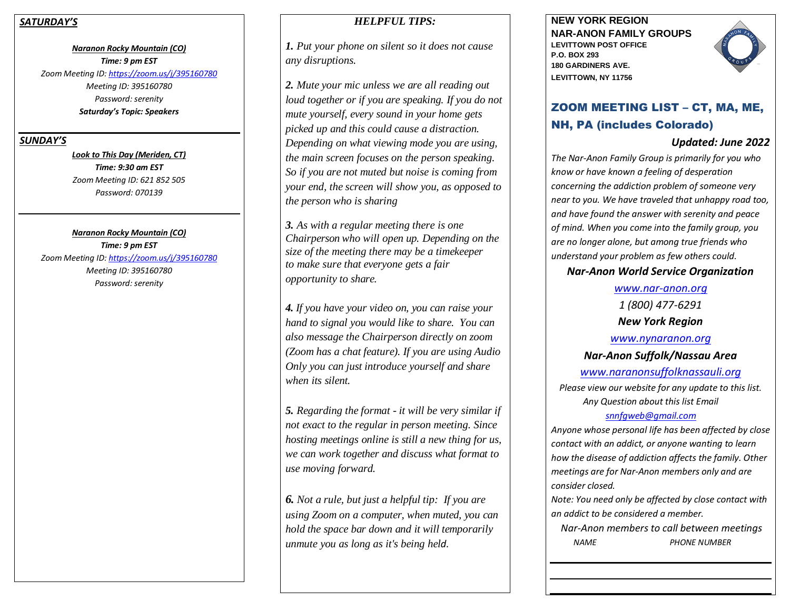## *SATURDAY'S*

*Naranon Rocky Mountain (CO) Time: 9 pm EST Zoom Meeting ID[: https://zoom.us/j/395160780](https://zoom.us/j/395160780) Meeting ID: 395160780 Password: serenity Saturday's Topic: Speakers*

### *SUNDAY'S*

*Look to This Day (Meriden, CT) Time: 9:30 am EST Zoom Meeting ID: 621 852 505 Password: 070139*

*Naranon Rocky Mountain (CO) Time: 9 pm EST Zoom Meeting ID[: https://zoom.us/j/395160780](https://zoom.us/j/395160780) Meeting ID: 395160780 Password: serenity*

# *HELPFUL TIPS:*

*1. Put your phone on silent so it does not cause any disruptions.*

*2. Mute your mic unless we are all reading out loud together or if you are speaking. If you do not mute yourself, every sound in your home gets picked up and this could cause a distraction. Depending on what viewing mode you are using, the main screen focuses on the person speaking. So if you are not muted but noise is coming from your end, the screen will show you, as opposed to the person who is sharing*

*3. As with a regular meeting there is one Chairperson who will open up. Depending on the size of the meeting there may be a timekeeper to make sure that everyone gets a fair opportunity to share.*

*4. If you have your video on, you can raise your hand to signal you would like to share. You can also message the Chairperson directly on zoom (Zoom has a chat feature). If you are using Audio Only you can just introduce yourself and share when its silent.* 

*5. Regarding the format - it will be very similar if not exact to the regular in person meeting. Since hosting meetings online is still a new thing for us, we can work together and discuss what format to use moving forward.*

*6. Not a rule, but just a helpful tip: If you are using Zoom on a computer, when muted, you can hold the space bar down and it will temporarily unmute you as long as it's being held.* 

**NEW YORK REGION NAR-ANON FAMILY GROUPS LEVITTOWN POST OFFICE P.O. BOX 293 180 GARDINERS AVE. LEVITTOWN, NY 11756**



# ZOOM MEETING LIST – CT, MA, ME, NH, PA (includes Colorado)

# *Updated: June 2022*

*The Nar-Anon Family Group is primarily for you who know or have known a feeling of desperation concerning the addiction problem of someone very near to you. We have traveled that unhappy road too, and have found the answer with serenity and peace of mind. When you come into the family group, you are no longer alone, but among true friends who understand your problem as few others could.* 

# *Nar-Anon World Service Organization*

*[www.nar-anon.org](http://www.nar-anon.org/) 1 (800) 477-6291 New York Region [www.nynaranon.org](http://www.nynaranon.org/) Nar-Anon Suffolk/Nassau Area [www.naranonsuffolknassauli.org](http://www.naranonsuffolknassauli.org/) Please view our website for any update to this list. Any Question about this list Email* 

### *[snnfgweb@gmail.com](mailto:snnfgweb@gmail.com)*

*Anyone whose personal life has been affected by close contact with an addict, or anyone wanting to learn how the disease of addiction affects the family. Other meetings are for Nar-Anon members only and are consider closed.*

*Note: You need only be affected by close contact with an addict to be considered a member.*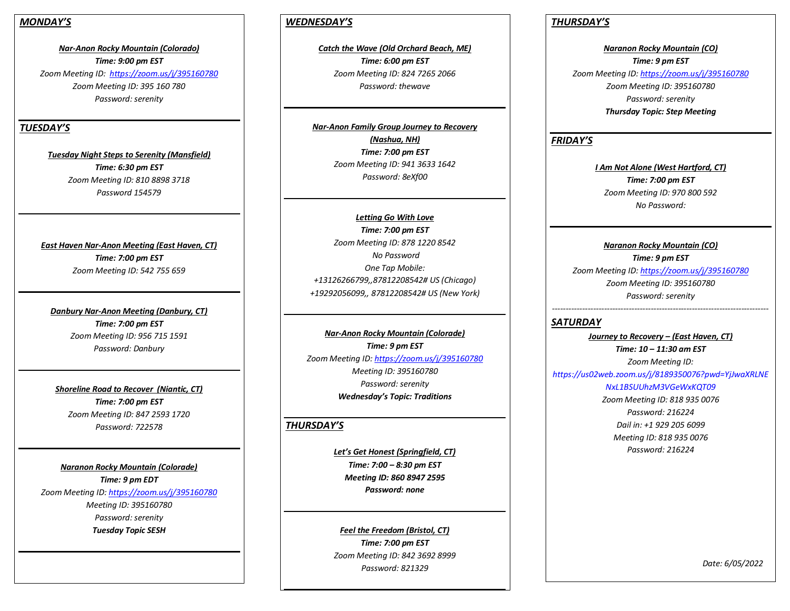*Nar-Anon Rocky Mountain (Colorado) Time: 9:00 pm EST Zoom Meeting ID: <https://zoom.us/j/395160780> Zoom Meeting ID: 395 160 780 Password: serenity*

### *TUESDAY'S*

*Tuesday Night Steps to Serenity (Mansfield) Time: 6:30 pm EST Zoom Meeting ID: 810 8898 3718 Password 154579*

*East Haven Nar-Anon Meeting (East Haven, CT) Time: 7:00 pm EST Zoom Meeting ID: 542 755 659*

*Danbury Nar-Anon Meeting (Danbury, CT) Time: 7:00 pm EST Zoom Meeting ID: 956 715 1591 Password: Danbury*

*Shoreline Road to Recover (Niantic, CT) Time: 7:00 pm EST Zoom Meeting ID: 847 2593 1720 Password: 722578*

*Naranon Rocky Mountain (Colorade)*

*Time: 9 pm EDT Zoom Meeting ID[: https://zoom.us/j/395160780](https://zoom.us/j/395160780) Meeting ID: 395160780 Password: serenity Tuesday Topic SESH*

### *WEDNESDAY'S*

*Catch the Wave (Old Orchard Beach, ME) Time: 6:00 pm EST Zoom Meeting ID: 824 7265 2066 Password: thewave*

*Nar-Anon Family Group Journey to Recovery (Nashua, NH) Time: 7:00 pm EST Zoom Meeting ID: 941 3633 1642 Password: 8eXf00*

*Letting Go With Love Time: 7:00 pm EST Zoom Meeting ID: 878 1220 8542 No Password One Tap Mobile: +13126266799,,87812208542# US (Chicago) +19292056099,, 87812208542# US (New York)*

*Nar-Anon Rocky Mountain (Colorade) Time: 9 pm EST Zoom Meeting ID[: https://zoom.us/j/395160780](https://zoom.us/j/395160780) Meeting ID: 395160780 Password: serenity Wednesday's Topic: Traditions*

### *THURSDAY'S*

*Let's Get Honest (Springfield, CT) Time: 7:00 – 8:30 pm EST Meeting ID: 860 8947 2595 Password: none*

*Feel the Freedom (Bristol, CT) Time: 7:00 pm EST Zoom Meeting ID: 842 3692 8999 Password: 821329*

### *THURSDAY'S*

*Naranon Rocky Mountain (CO) Time: 9 pm EST Zoom Meeting ID[: https://zoom.us/j/395160780](https://zoom.us/j/395160780) Zoom Meeting ID: 395160780 Password: serenity Thursday Topic: Step Meeting*

*FRIDAY'S*

*I Am Not Alone (West Hartford, CT) Time: 7:00 pm EST Zoom Meeting ID: 970 800 592 No Password:*

#### *Naranon Rocky Mountain (CO)*

*Time: 9 pm EST Zoom Meeting ID[: https://zoom.us/j/395160780](https://zoom.us/j/395160780) Zoom Meeting ID: 395160780 Password: serenity*

*-------------------------------------------------------------------------------*

#### *SATURDAY*

*Journey to Recovery – (East Haven, CT) Time: 10 – 11:30 am EST Zoom Meeting ID: https://us02web.zoom.us/j/8189350076?pwd=YjJwaXRLNE NxL1BSUUhzM3VGeWxKQT09 Zoom Meeting ID: 818 935 0076 Password: 216224 Dail in: +1 929 205 6099 Meeting ID: 818 935 0076 Password: 216224*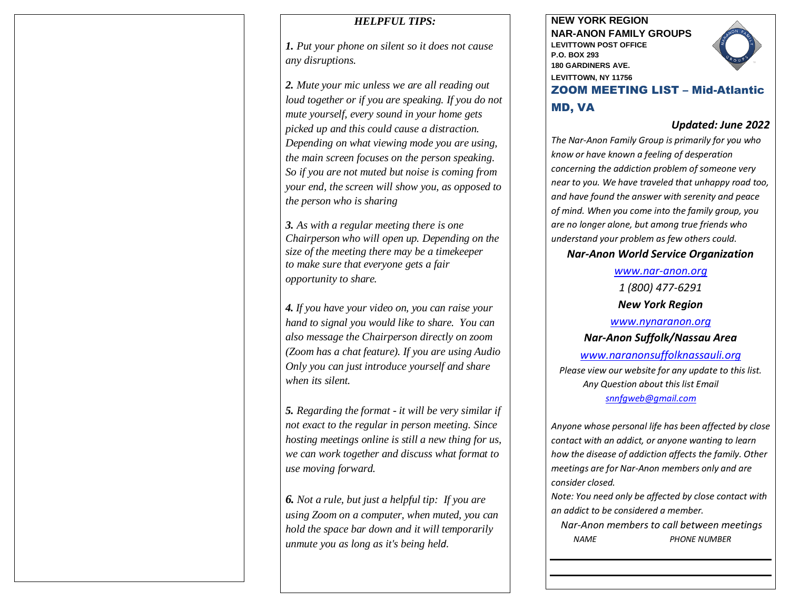# *HELPFUL TIPS:*

*1. Put your phone on silent so it does not cause any disruptions.*

*2. Mute your mic unless we are all reading out loud together or if you are speaking. If you do not mute yourself, every sound in your home gets picked up and this could cause a distraction. Depending on what viewing mode you are using, the main screen focuses on the person speaking. So if you are not muted but noise is coming from your end, the screen will show you, as opposed to the person who is sharing*

*3. As with a regular meeting there is one Chairperson who will open up. Depending on the size of the meeting there may be a timekeeper to make sure that everyone gets a fair opportunity to share.*

*4. If you have your video on, you can raise your hand to signal you would like to share. You can also message the Chairperson directly on zoom (Zoom has a chat feature). If you are using Audio Only you can just introduce yourself and share when its silent.* 

*5. Regarding the format - it will be very similar if not exact to the regular in person meeting. Since hosting meetings online is still a new thing for us, we can work together and discuss what format to use moving forward.*

*6. Not a rule, but just a helpful tip: If you are using Zoom on a computer, when muted, you can hold the space bar down and it will temporarily unmute you as long as it's being held.* 

### **NEW YORK REGION NAR-ANON FAMILY GROUPS LEVITTOWN POST OFFICE P.O. BOX 293 180 GARDINERS AVE. LEVITTOWN, NY 11756**



# ZOOM MEETING LIST – Mid-Atlantic MD, VA

# *Updated: June 2022*

*The Nar-Anon Family Group is primarily for you who know or have known a feeling of desperation concerning the addiction problem of someone very near to you. We have traveled that unhappy road too, and have found the answer with serenity and peace of mind. When you come into the family group, you are no longer alone, but among true friends who understand your problem as few others could.* 

# *Nar-Anon World Service Organization*

*[www.nar-anon.org](http://www.nar-anon.org/) 1 (800) 477-6291 New York Region [www.nynaranon.org](http://www.nynaranon.org/) Nar-Anon Suffolk/Nassau Area [www.naranonsuffolknassauli.org](http://www.naranonsuffolknassauli.org/) Please view our website for any update to this list.*

 *Any Question about this list Email [snnfgweb@gmail.com](mailto:snnfgweb@gmail.com)*

*Anyone whose personal life has been affected by close contact with an addict, or anyone wanting to learn how the disease of addiction affects the family. Other meetings are for Nar-Anon members only and are consider closed.*

*Note: You need only be affected by close contact with an addict to be considered a member.*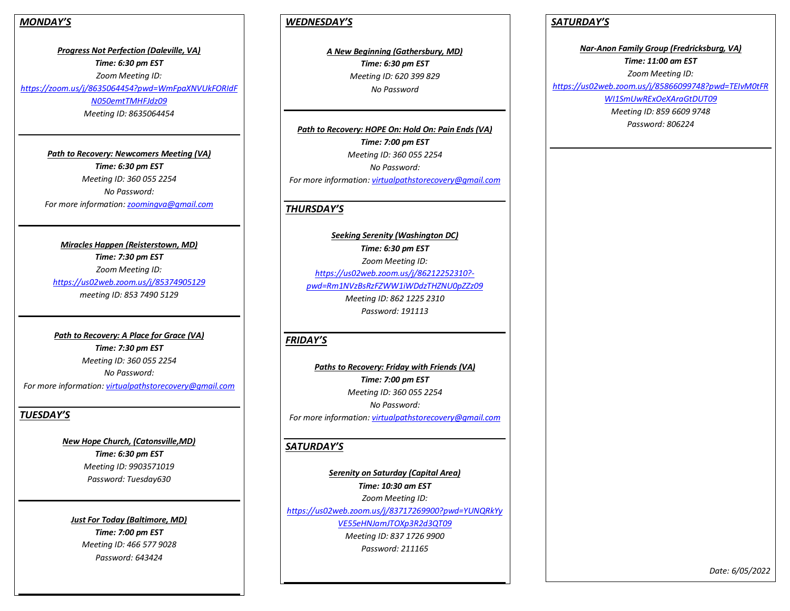# *Progress Not Perfection (Daleville, VA)*

*Time: 6:30 pm EST*

*Zoom Meeting ID:* 

*[https://zoom.us/j/8635064454?pwd=WmFpaXNVUkFORIdF](https://zoom.us/j/8635064454?pwd=WmFpaXNVUkFORIdFN050emtTMHFJdz09)*

*[N050emtTMHFJdz09](https://zoom.us/j/8635064454?pwd=WmFpaXNVUkFORIdFN050emtTMHFJdz09)*

*Meeting ID: 8635064454*

*Path to Recovery: Newcomers Meeting (VA) Time: 6:30 pm EST Meeting ID: 360 055 2254 No Password: For more information[: zoomingva@gmail.com](mailto:zoomingva@gmail.com)*

*Miracles Happen (Reisterstown, MD) Time: 7:30 pm EST Zoom Meeting ID: <https://us02web.zoom.us/j/85374905129> meeting ID: 853 7490 5129*

*Path to Recovery: A Place for Grace (VA) Time: 7:30 pm EST Meeting ID: 360 055 2254 No Password: For more information[: virtualpathstorecovery@gmail.com](mailto:virtualpathstorecovery@gmail.com)*

# *TUESDAY'S*

*New Hope Church, (Catonsville,MD) Time: 6:30 pm EST Meeting ID: 9903571019 Password: Tuesday630*

*Just For Today (Baltimore, MD) Time: 7:00 pm EST Meeting ID: 466 577 9028 Password: 643424*

## *WEDNESDAY'S*

*A New Beginning (Gathersbury, MD) Time: 6:30 pm EST Meeting ID: 620 399 829 No Password*

*Path to Recovery: HOPE On: Hold On: Pain Ends (VA) Time: 7:00 pm EST Meeting ID: 360 055 2254 No Password: For more information[: virtualpathstorecovery@gmail.com](mailto:virtualpathstorecovery@gmail.com)*

### *THURSDAY'S*

*Seeking Serenity (Washington DC) Time: 6:30 pm EST Zoom Meeting ID: [https://us02web.zoom.us/j/86212252310?](https://us02web.zoom.us/j/86212252310?-pwd=Rm1NVzBsRzFZWW1iWDdzTHZNU0pZZz09) [pwd=Rm1NVzBsRzFZWW1iWDdzTHZNU0pZZz09](https://us02web.zoom.us/j/86212252310?-pwd=Rm1NVzBsRzFZWW1iWDdzTHZNU0pZZz09) Meeting ID: 862 1225 2310 Password: 191113*

# *FRIDAY'S*

*Paths to Recovery: Friday with Friends (VA) Time: 7:00 pm EST Meeting ID: 360 055 2254 No Password: For more information[: virtualpathstorecovery@gmail.com](mailto:virtualpathstorecovery@gmail.com)*

# *SATURDAY'S*

*Serenity on Saturday (Capital Area) Time: 10:30 am EST Zoom Meeting ID: [https://us02web.zoom.us/j/83717269900?pwd=YUNQRkYy](https://us02web.zoom.us/j/83717269900?pwd=YUNQRkYyVE55eHNJamJTOXp3R2d3QT09) [VE55eHNJamJTOXp3R2d3QT09](https://us02web.zoom.us/j/83717269900?pwd=YUNQRkYyVE55eHNJamJTOXp3R2d3QT09) Meeting ID: 837 1726 9900 Password: 211165*

### *SATURDAY'S*

*Nar-Anon Family Group (Fredricksburg, VA)*

*Time: 11:00 am EST Zoom Meeting ID:* 

*[https://us02web.zoom.us/j/85866099748?pwd=TEIvM0tFR](https://us02web.zoom.us/j/85866099748?pwd=TEIvM0tFRWI1SmUwRExOeXAraGtDUT09)*

*[WI1SmUwRExOeXAraGtDUT09](https://us02web.zoom.us/j/85866099748?pwd=TEIvM0tFRWI1SmUwRExOeXAraGtDUT09) Meeting ID: 859 6609 9748 Password: 806224*

 *Date: 6/05/2022*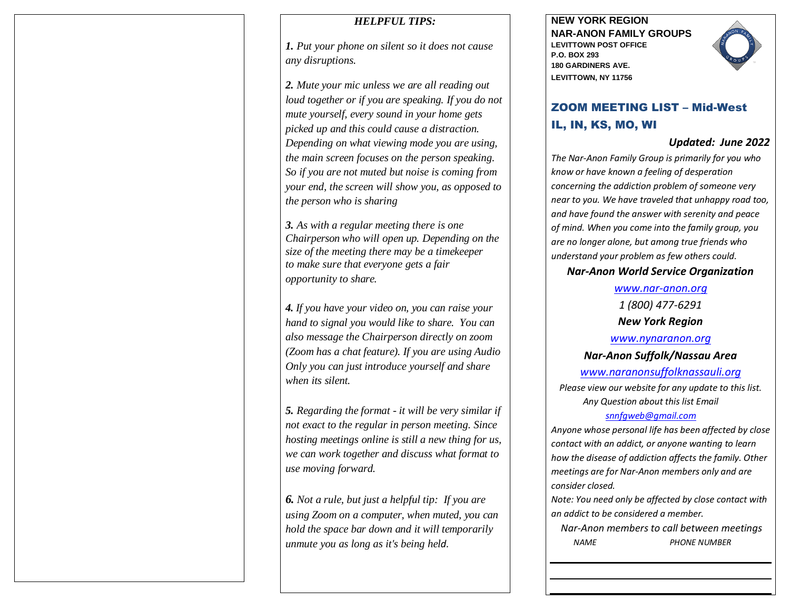# *HELPFUL TIPS:*

*1. Put your phone on silent so it does not cause any disruptions.*

*2. Mute your mic unless we are all reading out loud together or if you are speaking. If you do not mute yourself, every sound in your home gets picked up and this could cause a distraction. Depending on what viewing mode you are using, the main screen focuses on the person speaking. So if you are not muted but noise is coming from your end, the screen will show you, as opposed to the person who is sharing*

*3. As with a regular meeting there is one Chairperson who will open up. Depending on the size of the meeting there may be a timekeeper to make sure that everyone gets a fair opportunity to share.*

*4. If you have your video on, you can raise your hand to signal you would like to share. You can also message the Chairperson directly on zoom (Zoom has a chat feature). If you are using Audio Only you can just introduce yourself and share when its silent.* 

*5. Regarding the format - it will be very similar if not exact to the regular in person meeting. Since hosting meetings online is still a new thing for us, we can work together and discuss what format to use moving forward.*

*6. Not a rule, but just a helpful tip: If you are using Zoom on a computer, when muted, you can hold the space bar down and it will temporarily unmute you as long as it's being held.* 

**NEW YORK REGION NAR-ANON FAMILY GROUPS LEVITTOWN POST OFFICE P.O. BOX 293 180 GARDINERS AVE. LEVITTOWN, NY 11756**



# ZOOM MEETING LIST – Mid-West IL, IN, KS, MO, WI

# *Updated: June 2022*

*The Nar-Anon Family Group is primarily for you who know or have known a feeling of desperation concerning the addiction problem of someone very near to you. We have traveled that unhappy road too, and have found the answer with serenity and peace of mind. When you come into the family group, you are no longer alone, but among true friends who understand your problem as few others could.* 

# *Nar-Anon World Service Organization*

*[www.nar-anon.org](http://www.nar-anon.org/) 1 (800) 477-6291 New York Region [www.nynaranon.org](http://www.nynaranon.org/) Nar-Anon Suffolk/Nassau Area [www.naranonsuffolknassauli.org](http://www.naranonsuffolknassauli.org/) Please view our website for any update to this list.*

### *Any Question about this list Email [snnfgweb@gmail.com](mailto:snnfgweb@gmail.com)*

*Anyone whose personal life has been affected by close contact with an addict, or anyone wanting to learn how the disease of addiction affects the family. Other meetings are for Nar-Anon members only and are consider closed.*

*Note: You need only be affected by close contact with an addict to be considered a member.*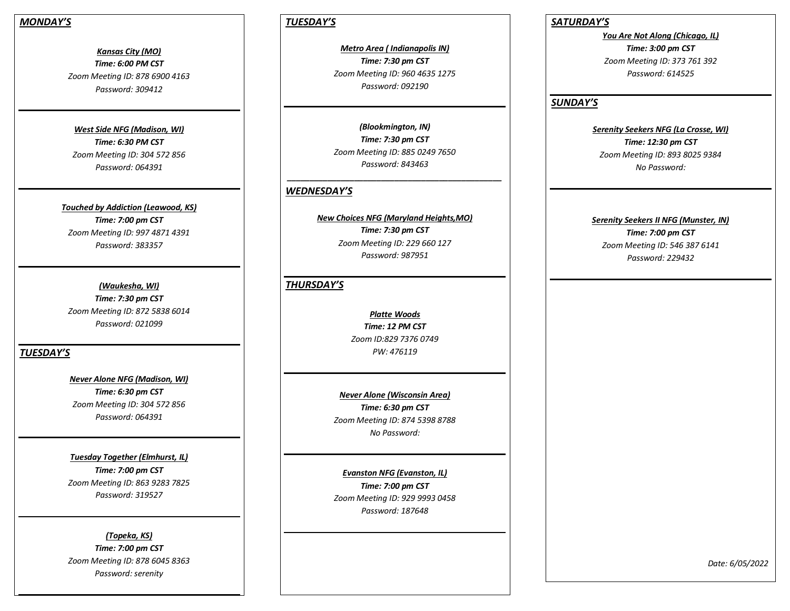*Kansas City (MO) Time: 6:00 PM CST Zoom Meeting ID: 878 6900 4163 Password: 309412*

*West Side NFG (Madison, WI) Time: 6:30 PM CST Zoom Meeting ID: 304 572 856 Password: 064391*

*Touched by Addiction (Leawood, KS) Time: 7:00 pm CST Zoom Meeting ID: 997 4871 4391 Password: 383357*

*(Waukesha, WI) Time: 7:30 pm CST Zoom Meeting ID: 872 5838 6014 Password: 021099*

### *TUESDAY'S*

*Never Alone NFG (Madison, WI) Time: 6:30 pm CST Zoom Meeting ID: 304 572 856 Password: 064391*

*Tuesday Together (Elmhurst, IL) Time: 7:00 pm CST Zoom Meeting ID: 863 9283 7825 Password: 319527*

*(Topeka, KS) Time: 7:00 pm CST Zoom Meeting ID: 878 6045 8363 Password: serenity*

## *TUESDAY'S*

*Metro Area ( Indianapolis IN) Time: 7:30 pm CST Zoom Meeting ID: 960 4635 1275 Password: 092190*

*(Blookmington, IN) Time: 7:30 pm CST Zoom Meeting ID: 885 0249 7650 Password: 843463*

*\_\_\_\_\_\_\_\_\_\_\_\_\_\_\_\_\_\_\_\_\_\_\_\_\_\_\_\_\_\_\_\_\_\_\_\_\_\_\_\_\_\_\_\_\_\_\_\_*

### *WEDNESDAY'S*

*New Choices NFG (Maryland Heights,MO) Time: 7:30 pm CST Zoom Meeting ID: 229 660 127 Password: 987951*

### *THURSDAY'S*

*Platte Woods Time: 12 PM CST Zoom ID:829 7376 0749 PW: 476119*

*Never Alone (Wisconsin Area) Time: 6:30 pm CST Zoom Meeting ID: 874 5398 8788 No Password:* 

*Evanston NFG (Evanston, IL) Time: 7:00 pm CST Zoom Meeting ID: 929 9993 0458 Password: 187648*

### *SATURDAY'S*

*You Are Not Along (Chicago, IL) Time: 3:00 pm CST Zoom Meeting ID: 373 761 392 Password: 614525*

## *SUNDAY'S*

*Serenity Seekers NFG (La Crosse, WI) Time: 12:30 pm CST Zoom Meeting ID: 893 8025 9384 No Password:* 

*Serenity Seekers II NFG (Munster, IN) Time: 7:00 pm CST Zoom Meeting ID: 546 387 6141 Password: 229432*

 *Date: 6/05/2022*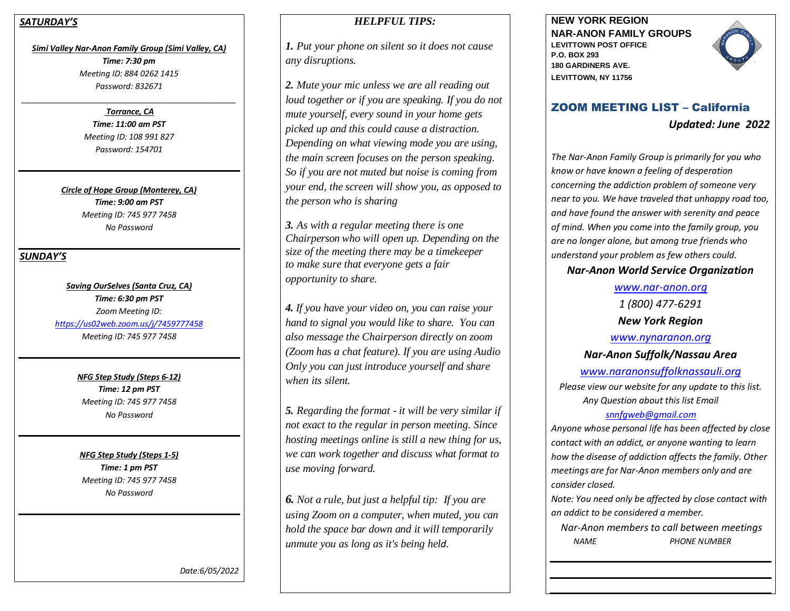### *SATURDAY'S*

*Simi Valley Nar-Anon Family Group (Simi Valley, CA) Time: 7:30 pm Meeting ID: 884 0262 1415 Password: 832671*

### *\_\_\_\_\_\_\_\_\_\_\_\_\_\_\_\_\_\_\_\_\_\_\_\_\_\_\_\_\_\_\_\_\_\_\_\_\_\_\_\_\_\_\_\_\_\_\_\_ Torrance, CA*

*Time: 11:00 am PST Meeting ID: 108 991 827 Password: 154701*

*Circle of Hope Group (Monterey, CA) Time: 9:00 am PST Meeting ID: 745 977 7458 No Password*

## *SUNDAY'S*

*Saving OurSelves (Santa Cruz, CA) Time: 6:30 pm PST Zoom Meeting ID: <https://us02web.zoom.us/j/7459777458> Meeting ID: 745 977 7458*

> *NFG Step Study (Steps 6-12) Time: 12 pm PST Meeting ID: 745 977 7458 No Password*

*NFG Step Study (Steps 1-5) Time: 1 pm PST*

*Meeting ID: 745 977 7458 No Password*

## *HELPFUL TIPS:*

*1. Put your phone on silent so it does not cause any disruptions.*

*2. Mute your mic unless we are all reading out loud together or if you are speaking. If you do not mute yourself, every sound in your home gets picked up and this could cause a distraction. Depending on what viewing mode you are using, the main screen focuses on the person speaking. So if you are not muted but noise is coming from your end, the screen will show you, as opposed to the person who is sharing*

*3. As with a regular meeting there is one Chairperson who will open up. Depending on the size of the meeting there may be a timekeeper to make sure that everyone gets a fair opportunity to share.*

*4. If you have your video on, you can raise your hand to signal you would like to share. You can also message the Chairperson directly on zoom (Zoom has a chat feature). If you are using Audio Only you can just introduce yourself and share when its silent.* 

*5. Regarding the format - it will be very similar if not exact to the regular in person meeting. Since hosting meetings online is still a new thing for us, we can work together and discuss what format to use moving forward.*

*6. Not a rule, but just a helpful tip: If you are using Zoom on a computer, when muted, you can hold the space bar down and it will temporarily unmute you as long as it's being held.* 

**NEW YORK REGION NAR-ANON FAMILY GROUPS LEVITTOWN POST OFFICE P.O. BOX 293 180 GARDINERS AVE. LEVITTOWN, NY 11756**



# ZOOM MEETING LIST – California *Updated: June 2022*

*The Nar-Anon Family Group is primarily for you who know or have known a feeling of desperation concerning the addiction problem of someone very near to you. We have traveled that unhappy road too, and have found the answer with serenity and peace of mind. When you come into the family group, you are no longer alone, but among true friends who understand your problem as few others could.* 

# *Nar-Anon World Service Organization*

*[www.nar-anon.org](http://www.nar-anon.org/) 1 (800) 477-6291 New York Region [www.nynaranon.org](http://www.nynaranon.org/) Nar-Anon Suffolk/Nassau Area [www.naranonsuffolknassauli.org](http://www.naranonsuffolknassauli.org/) Please view our website for any update to this list. Any Question about this list Email* 

### *[snnfgweb@gmail.com](mailto:snnfgweb@gmail.com)*

*Anyone whose personal life has been affected by close contact with an addict, or anyone wanting to learn how the disease of addiction affects the family. Other meetings are for Nar-Anon members only and are consider closed.*

*Note: You need only be affected by close contact with an addict to be considered a member.*

 *Nar-Anon members to call between meetings NAME PHONE NUMBER*

 *Date:6/05/2022*